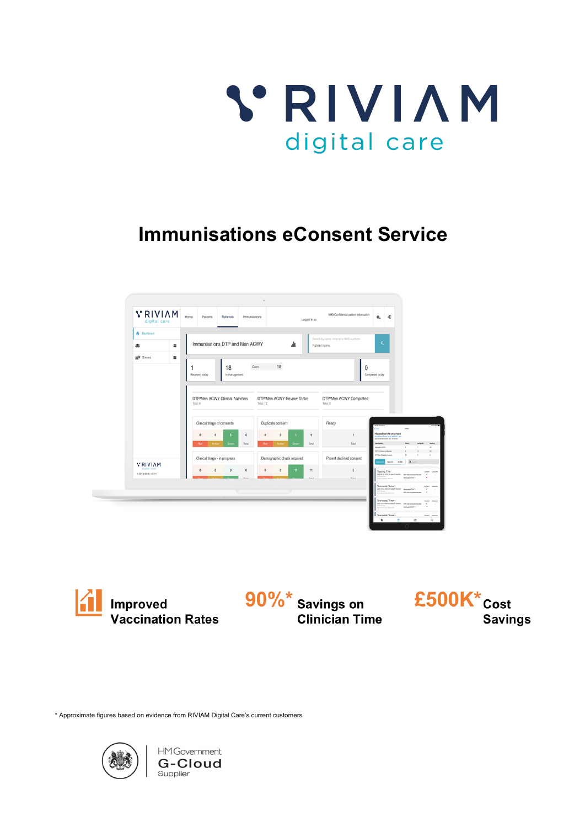

# **Immunisations eConsent Service**





\* Approximate figures based on evidence from RIVIAM Digital Care's current customers

**G-Cloud** 

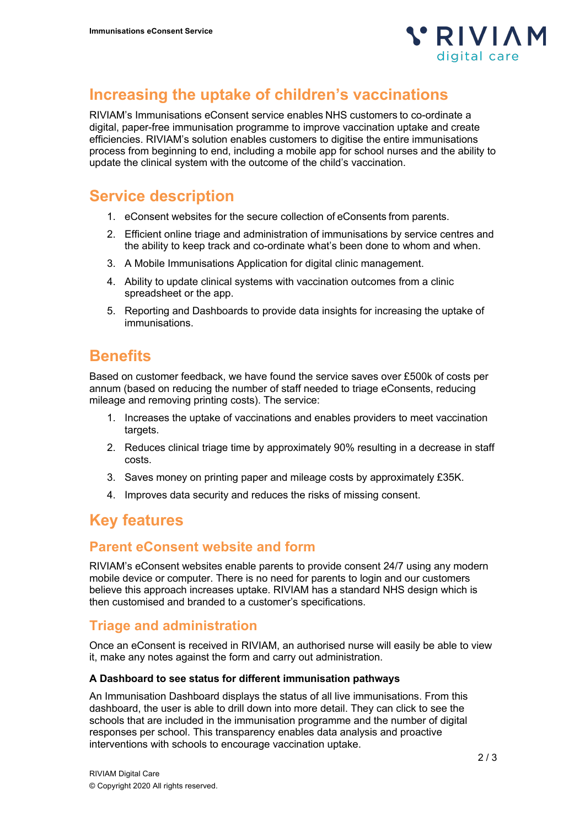

# **Increasing the uptake of children's vaccinations**

RIVIAM's Immunisations eConsent service enables NHS customers to co-ordinate a digital, paper-free immunisation programme to improve vaccination uptake and create efficiencies. RIVIAM's solution enables customers to digitise the entire immunisations process from beginning to end, including a mobile app for school nurses and the ability to update the clinical system with the outcome of the child's vaccination.

# **Service description**

- 1. eConsent websites for the secure collection of eConsents from parents.
- 2. Efficient online triage and administration of immunisations by service centres and the ability to keep track and co-ordinate what's been done to whom and when.
- 3. A Mobile Immunisations Application for digital clinic management.
- 4. Ability to update clinical systems with vaccination outcomes from a clinic spreadsheet or the app.
- 5. Reporting and Dashboards to provide data insights for increasing the uptake of immunisations.

## **Benefits**

Based on customer feedback, we have found the service saves over £500k of costs per annum (based on reducing the number of staff needed to triage eConsents, reducing mileage and removing printing costs). The service:

- 1. Increases the uptake of vaccinations and enables providers to meet vaccination targets.
- 2. Reduces clinical triage time by approximately 90% resulting in a decrease in staff costs.
- 3. Saves money on printing paper and mileage costs by approximately £35K.
- 4. Improves data security and reduces the risks of missing consent.

# **Key features**

### **Parent eConsent website and form**

RIVIAM's eConsent websites enable parents to provide consent 24/7 using any modern mobile device or computer. There is no need for parents to login and our customers believe this approach increases uptake. RIVIAM has a standard NHS design which is then customised and branded to a customer's specifications.

### **Triage and administration**

Once an eConsent is received in RIVIAM, an authorised nurse will easily be able to view it, make any notes against the form and carry out administration.

#### **A Dashboard to see status for different immunisation pathways**

An Immunisation Dashboard displays the status of all live immunisations. From this dashboard, the user is able to drill down into more detail. They can click to see the schools that are included in the immunisation programme and the number of digital responses per school. This transparency enables data analysis and proactive interventions with schools to encourage vaccination uptake.